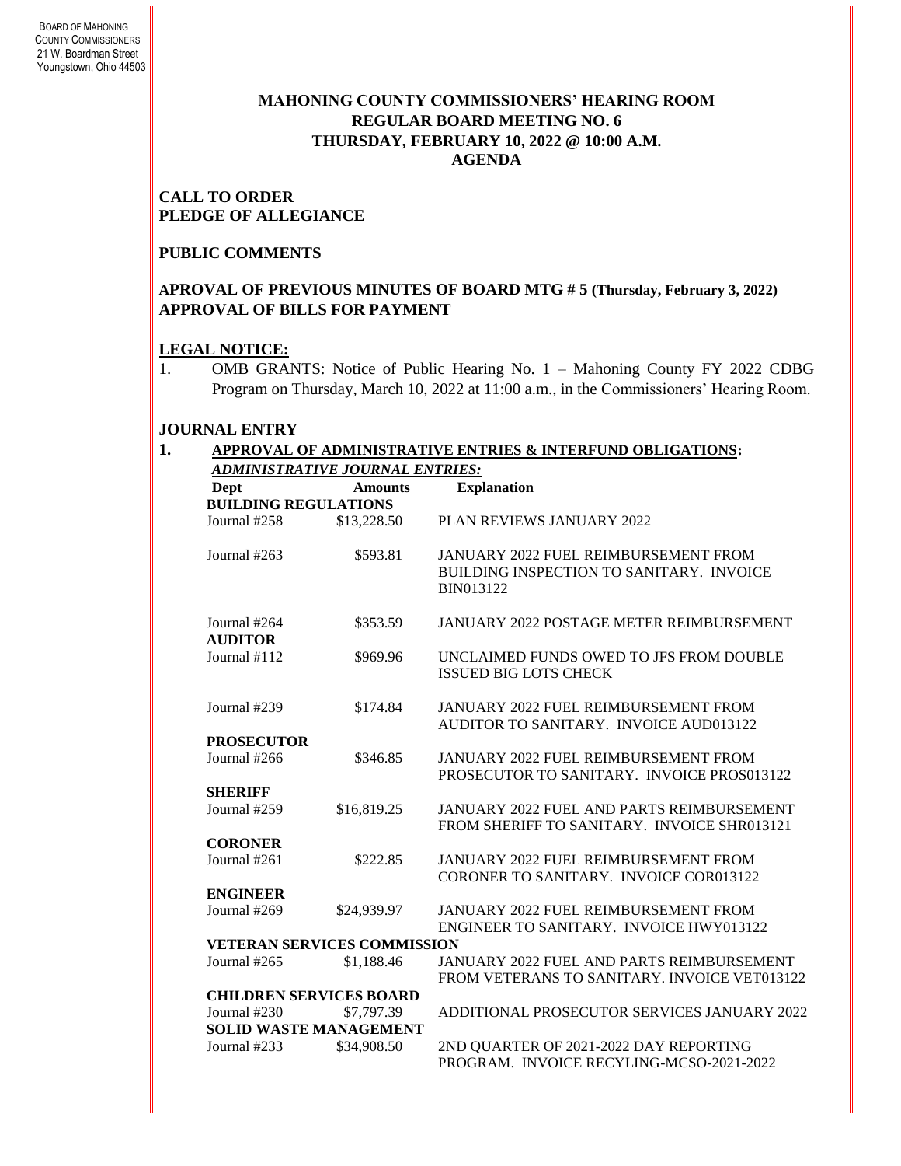### **MAHONING COUNTY COMMISSIONERS' HEARING ROOM REGULAR BOARD MEETING NO. 6 THURSDAY***,* **FEBRUARY 10, 2022 @ 10:00 A.M. AGENDA**

#### **CALL TO ORDER PLEDGE OF ALLEGIANCE**

#### **PUBLIC COMMENTS**

#### **APROVAL OF PREVIOUS MINUTES OF BOARD MTG # 5 (Thursday, February 3, 2022) APPROVAL OF BILLS FOR PAYMENT**

#### **LEGAL NOTICE:**

1. OMB GRANTS: Notice of Public Hearing No. 1 – Mahoning County FY 2022 CDBG Program on Thursday, March 10, 2022 at 11:00 a.m., in the Commissioners' Hearing Room.

### **JOURNAL ENTRY**

#### **1. APPROVAL OF ADMINISTRATIVE ENTRIES & INTERFUND OBLIGATIONS:**  *ADMINISTRATIVE JOURNAL ENTRIES:*

| Dept<br><b>BUILDING REGULATIONS</b> | <b>Amounts</b>                 | <b>Explanation</b>                                                                 |  |  |  |
|-------------------------------------|--------------------------------|------------------------------------------------------------------------------------|--|--|--|
| Journal #258                        | \$13,228.50                    | PLAN REVIEWS JANUARY 2022                                                          |  |  |  |
|                                     |                                |                                                                                    |  |  |  |
| Journal #263                        | \$593.81                       | JANUARY 2022 FUEL REIMBURSEMENT FROM<br>BUILDING INSPECTION TO SANITARY. INVOICE   |  |  |  |
|                                     |                                | <b>BIN013122</b>                                                                   |  |  |  |
| Journal #264                        | \$353.59                       | <b>JANUARY 2022 POSTAGE METER REIMBURSEMENT</b>                                    |  |  |  |
| <b>AUDITOR</b>                      |                                |                                                                                    |  |  |  |
| Journal #112                        | \$969.96                       | UNCLAIMED FUNDS OWED TO JFS FROM DOUBLE                                            |  |  |  |
|                                     |                                | <b>ISSUED BIG LOTS CHECK</b>                                                       |  |  |  |
|                                     |                                |                                                                                    |  |  |  |
| Journal #239                        | \$174.84                       | <b>JANUARY 2022 FUEL REIMBURSEMENT FROM</b>                                        |  |  |  |
|                                     |                                | AUDITOR TO SANITARY. INVOICE AUD013122                                             |  |  |  |
| <b>PROSECUTOR</b>                   |                                |                                                                                    |  |  |  |
| Journal #266                        | \$346.85                       | JANUARY 2022 FUEL REIMBURSEMENT FROM<br>PROSECUTOR TO SANITARY. INVOICE PROS013122 |  |  |  |
| <b>SHERIFF</b>                      |                                |                                                                                    |  |  |  |
| Journal #259                        | \$16,819.25                    | <b>JANUARY 2022 FUEL AND PARTS REIMBURSEMENT</b>                                   |  |  |  |
|                                     |                                | FROM SHERIFF TO SANITARY. INVOICE SHR013121                                        |  |  |  |
| <b>CORONER</b>                      |                                |                                                                                    |  |  |  |
| Journal #261                        | \$222.85                       | <b>JANUARY 2022 FUEL REIMBURSEMENT FROM</b>                                        |  |  |  |
|                                     |                                | CORONER TO SANITARY. INVOICE COR013122                                             |  |  |  |
| <b>ENGINEER</b>                     |                                |                                                                                    |  |  |  |
| Journal #269                        | \$24,939.97                    | <b>JANUARY 2022 FUEL REIMBURSEMENT FROM</b>                                        |  |  |  |
|                                     |                                | ENGINEER TO SANITARY. INVOICE HWY013122                                            |  |  |  |
| <b>VETERAN SERVICES COMMISSION</b>  |                                |                                                                                    |  |  |  |
| Journal #265                        | \$1,188.46                     | <b>JANUARY 2022 FUEL AND PARTS REIMBURSEMENT</b>                                   |  |  |  |
|                                     |                                | FROM VETERANS TO SANITARY. INVOICE VET013122                                       |  |  |  |
|                                     | <b>CHILDREN SERVICES BOARD</b> |                                                                                    |  |  |  |
| Journal #230                        | \$7,797.39                     | ADDITIONAL PROSECUTOR SERVICES JANUARY 2022                                        |  |  |  |
| <b>SOLID WASTE MANAGEMENT</b>       |                                |                                                                                    |  |  |  |
| Journal #233                        | \$34,908.50                    | 2ND QUARTER OF 2021-2022 DAY REPORTING                                             |  |  |  |
|                                     |                                | PROGRAM. INVOICE RECYLING-MCSO-2021-2022                                           |  |  |  |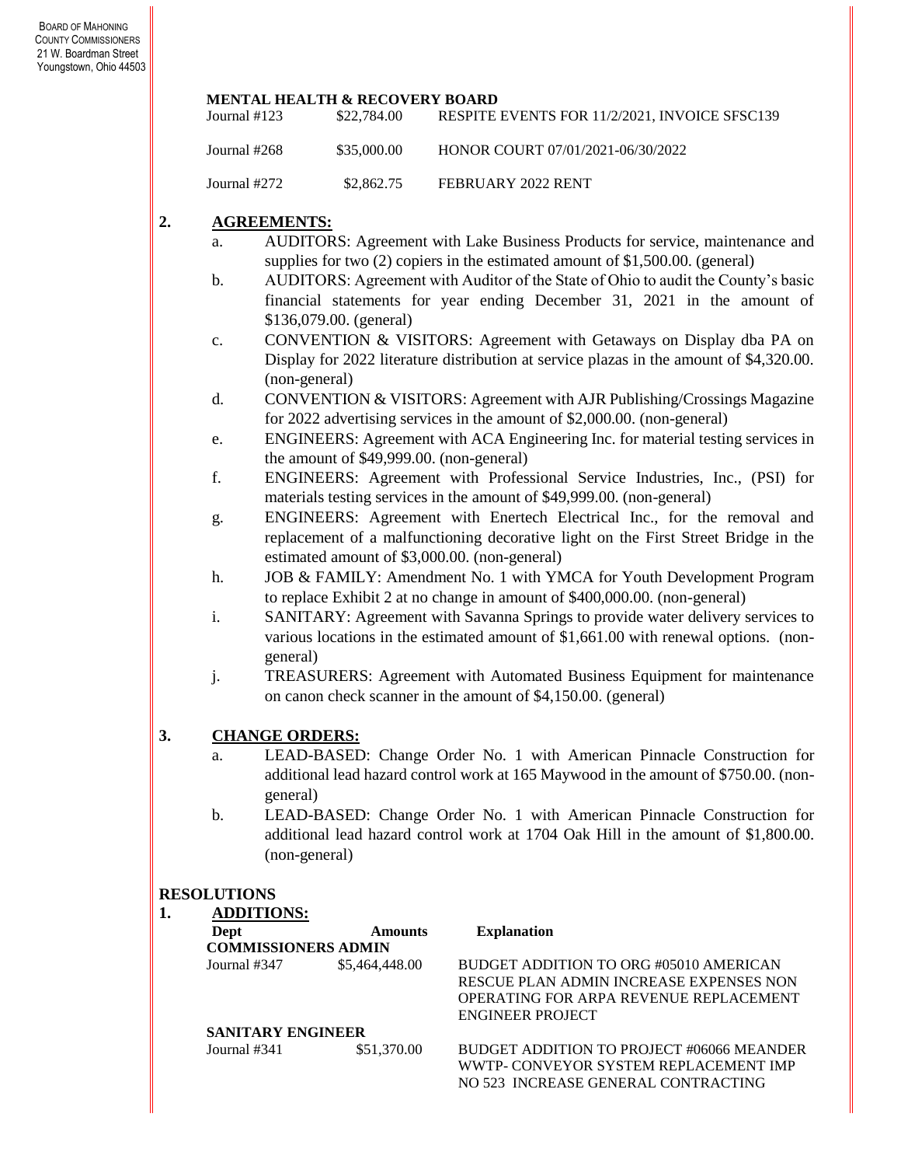#### **MENTAL HEALTH & RECOVERY BOARD**

| Journal $#123$ | \$22,784.00 | RESPITE EVENTS FOR 11/2/2021. INVOICE SFSC139 |
|----------------|-------------|-----------------------------------------------|
| Journal #268   | \$35,000.00 | HONOR COURT 07/01/2021-06/30/2022             |
| Journal #272   | \$2,862.75  | FEBRUARY 2022 RENT                            |

#### **2. AGREEMENTS:**

- a. AUDITORS: Agreement with Lake Business Products for service, maintenance and supplies for two (2) copiers in the estimated amount of \$1,500.00. (general)
- b. AUDITORS: Agreement with Auditor of the State of Ohio to audit the County's basic financial statements for year ending December 31, 2021 in the amount of \$136,079.00. (general)
- c. CONVENTION & VISITORS: Agreement with Getaways on Display dba PA on Display for 2022 literature distribution at service plazas in the amount of \$4,320.00. (non-general)
- d. CONVENTION & VISITORS: Agreement with AJR Publishing/Crossings Magazine for 2022 advertising services in the amount of \$2,000.00. (non-general)
- e. ENGINEERS: Agreement with ACA Engineering Inc. for material testing services in the amount of \$49,999.00. (non-general)
- f. ENGINEERS: Agreement with Professional Service Industries, Inc., (PSI) for materials testing services in the amount of \$49,999.00. (non-general)
- g. ENGINEERS: Agreement with Enertech Electrical Inc., for the removal and replacement of a malfunctioning decorative light on the First Street Bridge in the estimated amount of \$3,000.00. (non-general)
- h. JOB & FAMILY: Amendment No. 1 with YMCA for Youth Development Program to replace Exhibit 2 at no change in amount of \$400,000.00. (non-general)
- i. SANITARY: Agreement with Savanna Springs to provide water delivery services to various locations in the estimated amount of \$1,661.00 with renewal options. (nongeneral)
- j. TREASURERS: Agreement with Automated Business Equipment for maintenance on canon check scanner in the amount of \$4,150.00. (general)

#### **3. CHANGE ORDERS:**

- a. LEAD-BASED: Change Order No. 1 with American Pinnacle Construction for additional lead hazard control work at 165 Maywood in the amount of \$750.00. (nongeneral)
- b. LEAD-BASED: Change Order No. 1 with American Pinnacle Construction for additional lead hazard control work at 1704 Oak Hill in the amount of \$1,800.00. (non-general)

#### **RESOLUTIONS**

|  | <b>ADDITIONS:</b>          |                |                                           |
|--|----------------------------|----------------|-------------------------------------------|
|  | Dept                       | <b>Amounts</b> | <b>Explanation</b>                        |
|  | <b>COMMISSIONERS ADMIN</b> |                |                                           |
|  | Journal #347               | \$5,464,448.00 | BUDGET ADDITION TO ORG #05010 AMERICAN    |
|  |                            |                | RESCUE PLAN ADMIN INCREASE EXPENSES NON   |
|  |                            |                | OPERATING FOR ARPA REVENUE REPLACEMENT    |
|  |                            |                | ENGINEER PROJECT                          |
|  | <b>SANITARY ENGINEER</b>   |                |                                           |
|  | Journal #341               | \$51,370.00    | BUDGET ADDITION TO PROJECT #06066 MEANDER |
|  |                            |                | WWTP- CONVEYOR SYSTEM REPLACEMENT IMP     |
|  |                            |                | NO 523 INCREASE GENERAL CONTRACTING       |
|  |                            |                |                                           |